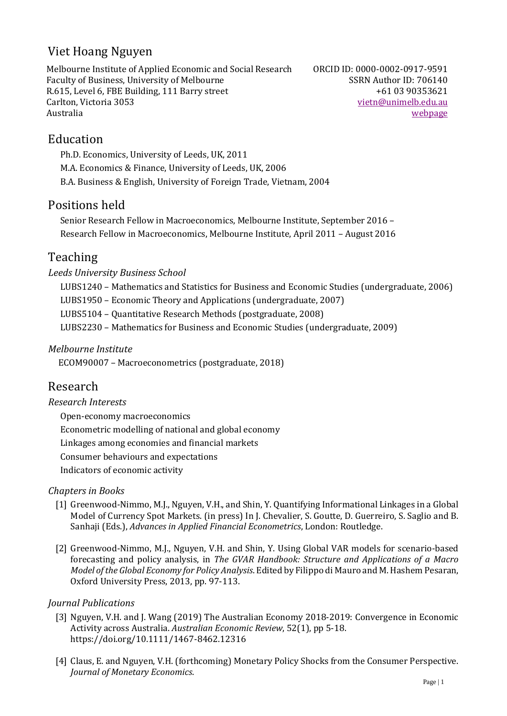# Viet Hoang Nguyen

Melbourne Institute of Applied Economic and Social Research Faculty of Business, University of Melbourne R.615, Level 6, FBE Building, 111 Barry street Carlton, Victoria 3053 Australia

ORCID ID: 0000-0002-0917-9591 SSRN Author ID: 706140 +61 03 90353621 [vietn@unimelb.edu.au](mailto:vietn@unimelb.edu.au) [webpage](https://sites.google.com/view/viethoangnguyen/home)

## Education

Ph.D. Economics, University of Leeds, UK, 2011 M.A. Economics & Finance, University of Leeds, UK, 2006 B.A. Business & English, University of Foreign Trade, Vietnam, 2004

## Positions held

Senior Research Fellow in Macroeconomics, Melbourne Institute, September 2016 – Research Fellow in Macroeconomics, Melbourne Institute, April 2011 – August 2016

## Teaching

*Leeds University Business School*

- LUBS1240 Mathematics and Statistics for Business and Economic Studies (undergraduate, 2006)
- LUBS1950 Economic Theory and Applications (undergraduate, 2007)

LUBS5104 – Quantitative Research Methods (postgraduate, 2008)

LUBS2230 – Mathematics for Business and Economic Studies (undergraduate, 2009)

### *Melbourne Institute*

ECOM90007 – Macroeconometrics (postgraduate, 2018)

## Research

*Research Interests*

Open-economy macroeconomics Econometric modelling of national and global economy Linkages among economies and financial markets Consumer behaviours and expectations Indicators of economic activity

### *Chapters in Books*

- [1] Greenwood-Nimmo, M.J., Nguyen, V.H., and Shin, Y. Quantifying Informational Linkages in a Global Model of Currency Spot Markets. (in press) In J. Chevalier, S. Goutte, D. Guerreiro, S. Saglio and B. Sanhaji (Eds.), *Advances in Applied Financial Econometrics*, London: Routledge.
- [2] Greenwood-Nimmo, M.J., Nguyen, V.H. and Shin, Y. Using Global VAR models for scenario-based forecasting and policy analysis, in *The GVAR Handbook: Structure and Applications of a Macro Model of the Global Economy for Policy Analysis*. Edited by Filippo di Mauro and M. Hashem Pesaran, Oxford University Press, 2013, pp. 97-113.

### *Journal Publications*

- [3] Nguyen, V.H. and J. Wang (2019) The Australian Economy 2018-2019: Convergence in Economic Activity across Australia. *Australian Economic Review*, 52(1), pp 5-18. https://doi.org/10.1111/1467-8462.12316
- [4] Claus, E. and Nguyen, V.H. (forthcoming) Monetary Policy Shocks from the Consumer Perspective. *Journal of Monetary Economics*.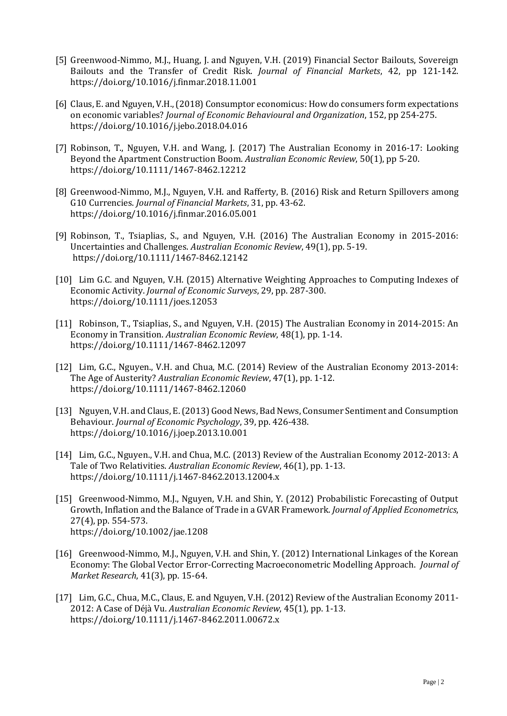- [5] Greenwood-Nimmo, M.J., Huang, J. and Nguyen, V.H. (2019) Financial Sector Bailouts, Sovereign Bailouts and the Transfer of Credit Risk. *Journal of Financial Markets*, 42, pp 121-142. <https://doi.org/10.1016/j.finmar.2018.11.001>
- [6] Claus, E. and Nguyen, V.H., (2018) Consumptor economicus: How do consumers form expectations on economic variables? *Journal of Economic Behavioural and Organization*, 152, pp 254-275. <https://doi.org/10.1016/j.jebo.2018.04.016>
- [7] Robinson, T., Nguyen, V.H. and Wang, J. (2017) The Australian Economy in 2016-17: Looking Beyond the Apartment Construction Boom. *Australian Economic Review*, 50(1), pp 5-20. https://doi.org/10.1111/1467-8462.12212
- [8] Greenwood-Nimmo, M.J., Nguyen, V.H. and Rafferty, B. (2016) Risk and Return Spillovers among G10 Currencies. *Journal of Financial Markets*, 31, pp. 43-62. https://doi.org/10.1016/j.finmar.2016.05.001
- [9] Robinson, T., Tsiaplias, S., and Nguyen, V.H. (2016) The Australian Economy in 2015-2016: Uncertainties and Challenges. *Australian Economic Review*, 49(1), pp. 5-19. https://doi.org/10.1111/1467-8462.12142
- [10] Lim G.C. and Nguyen, V.H. (2015) Alternative Weighting Approaches to Computing Indexes of Economic Activity. *Journal of Economic Surveys*, 29, pp. 287-300. https://doi.org/10.1111/joes.12053
- [11] Robinson, T., Tsiaplias, S., and Nguyen, V.H. (2015) The Australian Economy in 2014-2015: An Economy in Transition. *Australian Economic Review*, 48(1), pp. 1-14. https://doi.org/10.1111/1467-8462.12097
- [12] Lim, G.C., Nguyen., V.H. and Chua, M.C. (2014) Review of the Australian Economy 2013-2014: The Age of Austerity? *Australian Economic Review*, 47(1), pp. 1-12. https://doi.org/10.1111/1467-8462.12060
- [13] Nguyen, V.H. and Claus, E. (2013) Good News, Bad News, Consumer Sentiment and Consumption Behaviour. *Journal of Economic Psychology*, 39, pp. 426-438. https://doi.org/10.1016/j.joep.2013.10.001
- [14] Lim, G.C., Nguyen., V.H. and Chua, M.C. (2013) Review of the Australian Economy 2012-2013: A Tale of Two Relativities. *Australian Economic Review*, 46(1), pp. 1-13. https://doi.org/10.1111/j.1467-8462.2013.12004.x
- [15] Greenwood-Nimmo, M.J., Nguyen, V.H. and Shin, Y. (2012) Probabilistic Forecasting of Output Growth, Inflation and the Balance of Trade in a GVAR Framework. *Journal of Applied Econometrics*, 27(4), pp. 554-573. https://doi.org/10.1002/jae.1208
- [16] Greenwood-Nimmo, M.J., Nguyen, V.H. and Shin, Y. (2012) International Linkages of the Korean Economy: The Global Vector Error-Correcting Macroeconometric Modelling Approach. *Journal of Market Research*, 41(3), pp. 15-64.
- [17] Lim, G.C., Chua, M.C., Claus, E. and Nguyen, V.H. (2012) Review of the Australian Economy 2011- 2012: A Case of Déjà Vu. *Australian Economic Review*, 45(1), pp. 1-13. https://doi.org/10.1111/j.1467-8462.2011.00672.x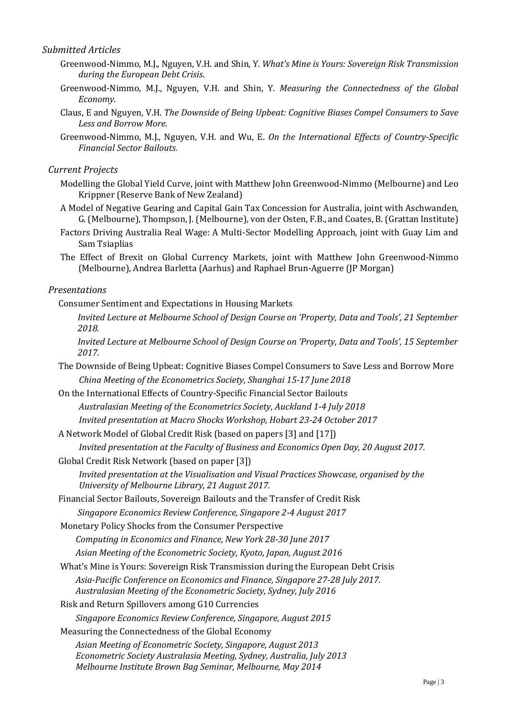#### *Submitted Articles*

- Greenwood-Nimmo, M.J., Nguyen, V.H. and Shin, Y. *What's Mine is Yours: Sovereign Risk Transmission during the European Debt Crisis*.
- Greenwood-Nimmo, M.J., Nguyen, V.H. and Shin, Y. *Measuring the Connectedness of the Global Economy*.
- Claus, E and Nguyen, V.H. *The Downside of Being Upbeat: Cognitive Biases Compel Consumers to Save Less and Borrow More*.
- Greenwood-Nimmo, M.J., Nguyen, V.H. and Wu, E. *On the International Effects of Country-Specific Financial Sector Bailouts.*

#### *Current Projects*

- Modelling the Global Yield Curve, joint with Matthew John Greenwood-Nimmo (Melbourne) and Leo Krippner (Reserve Bank of New Zealand)
- A Model of Negative Gearing and Capital Gain Tax Concession for Australia, joint with Aschwanden, G. (Melbourne), Thompson, J. (Melbourne), von der Osten, F.B., and Coates, B. (Grattan Institute)
- Factors Driving Australia Real Wage: A Multi-Sector Modelling Approach, joint with Guay Lim and Sam Tsiaplias
- The Effect of Brexit on Global Currency Markets, joint with Matthew John Greenwood-Nimmo (Melbourne), Andrea Barletta (Aarhus) and Raphael Brun-Aguerre (JP Morgan)

#### *Presentations*

- Consumer Sentiment and Expectations in Housing Markets
	- *Invited Lecture at Melbourne School of Design Course on 'Property, Data and Tools', 21 September 2018.*

*Invited Lecture at Melbourne School of Design Course on 'Property, Data and Tools', 15 September 2017.*

 The Downside of Being Upbeat: Cognitive Biases Compel Consumers to Save Less and Borrow More *China Meeting of the Econometrics Society, Shanghai 15-17 June 2018*

 On the International Effects of Country-Specific Financial Sector Bailouts *Australasian Meeting of the Econometrics Society, Auckland 1-4 July 2018 Invited presentation at Macro Shocks Workshop, Hobart 23-24 October 2017*

A Network Model of Global Credit Risk (based on papers [3] and [17])

*Invited presentation at the Faculty of Business and Economics Open Day, 20 August 2017.*

Global Credit Risk Network (based on paper [3])

*Invited presentation at the Visualisation and Visual Practices Showcase, organised by the University of Melbourne Library, 21 August 2017.*

Financial Sector Bailouts, Sovereign Bailouts and the Transfer of Credit Risk

*Singapore Economics Review Conference, Singapore 2-4 August 2017*

Monetary Policy Shocks from the Consumer Perspective

*Computing in Economics and Finance, New York 28-30 June 2017*

*Asian Meeting of the Econometric Society, Kyoto, Japan, August 2016*

What's Mine is Yours: Sovereign Risk Transmission during the European Debt Crisis

*Asia-Pacific Conference on Economics and Finance, Singapore 27-28 July 2017. Australasian Meeting of the Econometric Society, Sydney, July 2016*

Risk and Return Spillovers among G10 Currencies

*Singapore Economics Review Conference, Singapore, August 2015*

Measuring the Connectedness of the Global Economy

*Asian Meeting of Econometric Society, Singapore, August 2013 Econometric Society Australasia Meeting, Sydney, Australia, July 2013 Melbourne Institute Brown Bag Seminar, Melbourne, May 2014*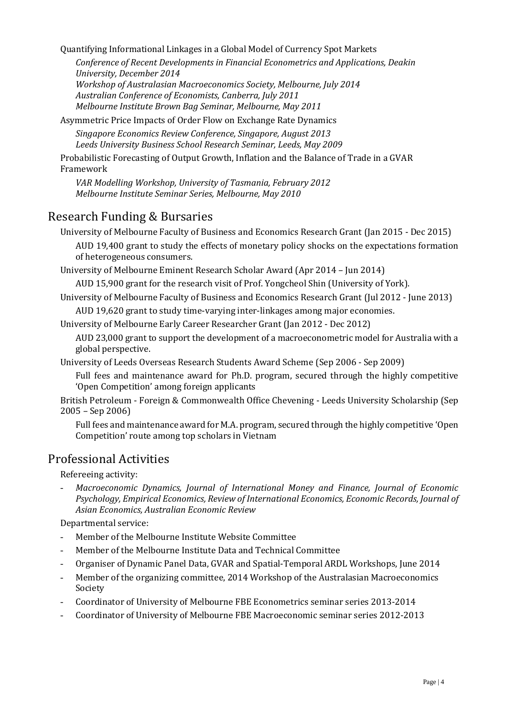Quantifying Informational Linkages in a Global Model of Currency Spot Markets

*Conference of Recent Developments in Financial Econometrics and Applications, Deakin University, December 2014*

*Workshop of Australasian Macroeconomics Society, Melbourne, July 2014 Australian Conference of Economists, Canberra, July 2011 Melbourne Institute Brown Bag Seminar, Melbourne, May 2011*

Asymmetric Price Impacts of Order Flow on Exchange Rate Dynamics

*Singapore Economics Review Conference, Singapore, August 2013 Leeds University Business School Research Seminar, Leeds, May 2009*

Probabilistic Forecasting of Output Growth, Inflation and the Balance of Trade in a GVAR Framework

*VAR Modelling Workshop, University of Tasmania, February 2012 Melbourne Institute Seminar Series, Melbourne, May 2010*

## Research Funding & Bursaries

University of Melbourne Faculty of Business and Economics Research Grant (Jan 2015 - Dec 2015) AUD 19,400 grant to study the effects of monetary policy shocks on the expectations formation of heterogeneous consumers.

University of Melbourne Eminent Research Scholar Award (Apr 2014 – Jun 2014)

AUD 15,900 grant for the research visit of Prof. Yongcheol Shin (University of York).

University of Melbourne Faculty of Business and Economics Research Grant (Jul 2012 - June 2013) AUD 19,620 grant to study time-varying inter-linkages among major economies.

University of Melbourne Early Career Researcher Grant (Jan 2012 - Dec 2012)

AUD 23,000 grant to support the development of a macroeconometric model for Australia with a global perspective.

University of Leeds Overseas Research Students Award Scheme (Sep 2006 - Sep 2009)

Full fees and maintenance award for Ph.D. program, secured through the highly competitive 'Open Competition' among foreign applicants

British Petroleum - Foreign & Commonwealth Office Chevening - Leeds University Scholarship (Sep 2005 – Sep 2006)

Full fees and maintenance award for M.A. program, secured through the highly competitive 'Open Competition' route among top scholars in Vietnam

## Professional Activities

Refereeing activity:

- *Macroeconomic Dynamics, Journal of International Money and Finance, Journal of Economic Psychology, Empirical Economics, Review of International Economics, Economic Records, Journal of Asian Economics, Australian Economic Review*

Departmental service:

- Member of the Melbourne Institute Website Committee
- Member of the Melbourne Institute Data and Technical Committee
- Organiser of Dynamic Panel Data, GVAR and Spatial-Temporal ARDL Workshops, June 2014
- Member of the organizing committee, 2014 Workshop of the Australasian Macroeconomics Society
- Coordinator of University of Melbourne FBE Econometrics seminar series 2013-2014
- Coordinator of University of Melbourne FBE Macroeconomic seminar series 2012-2013